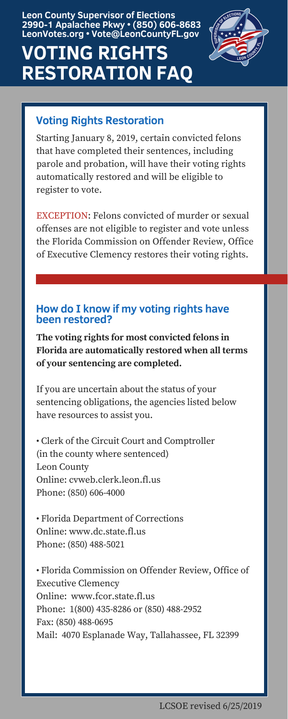Starting January 8, 2019, certain convicted felons that have completed their sentences, including parole and probation, will have their voting rights automatically restored and will be eligible to register to vote.

EXCEPTION: Felons convicted of murder or sexual offenses are not eligible to register and vote unless the Florida Commission on Offender Review, Office of Executive Clemency restores their voting rights.

#### **How do I know if my voting rights have been restored?**

**The voting rights for most convicted felons in Florida are automatically restored when all terms of your sentencing are completed.**

If you are uncertain about the status of your sentencing obligations, the agencies listed below have resources to assist you.

• Clerk of the Circuit Court and Comptroller (in the county where sentenced) Leon County Online: cvweb.clerk.leon.fl.us Phone: (850) 606-4000

• Florida Department of Corrections Online: www.dc.state.fl.us Phone: (850) 488-5021

• Florida Commission on Offender Review, Office of Executive Clemency Online: www.fcor.state.fl.us Phone: 1(800) 435-8286 or (850) 488-2952 Fax: (850) 488-0695 Mail: 4070 Esplanade Way, Tallahassee, FL 32399

# **VOTING RIGHTS RESTORATION FAQ**



**Leon County Supervisor of Elections 2990-1 Apalachee Pkwy • (850) 606-8683 LeonVotes.org • Vote@LeonCountyFL.gov**

## **Voting Rights Restoration**